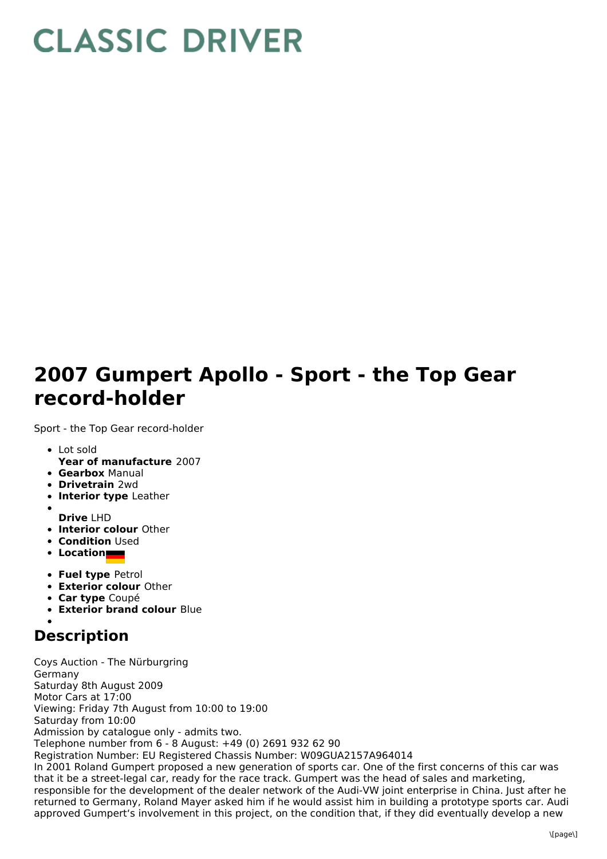## **CLASSIC DRIVER**

## **2007 Gumpert Apollo - Sport - the Top Gear record-holder**

Sport - the Top Gear record-holder

- Lot sold
- **Year of manufacture** 2007
- **Gearbox** Manual
- **Drivetrain** 2wd
- **Interior type** Leather
- **Drive** LHD
- **Interior colour** Other
- **Condition Used**
- **Location**
- **Fuel type** Petrol
- **Exterior colour** Other
- **Car type** Coupé
- **Exterior brand colour** Blue
- 

## **Description**

Coys Auction - The Nürburgring Germany Saturday 8th August 2009 Motor Cars at 17:00 Viewing: Friday 7th August from 10:00 to 19:00 Saturday from 10:00 Admission by catalogue only - admits two. Telephone number from 6 - 8 August: +49 (0) 2691 932 62 90 Registration Number: EU Registered Chassis Number: W09GUA2157A964014 In 2001 Roland Gumpert proposed a new generation of sports car. One of the first concerns of this car was that it be a street-legal car, ready for the race track. Gumpert was the head of sales and marketing, responsible for the development of the dealer network of the Audi-VW joint enterprise in China. Just after he returned to Germany, Roland Mayer asked him if he would assist him in building a prototype sports car. Audi approved Gumpert's involvement in this project, on the condition that, if they did eventually develop a new